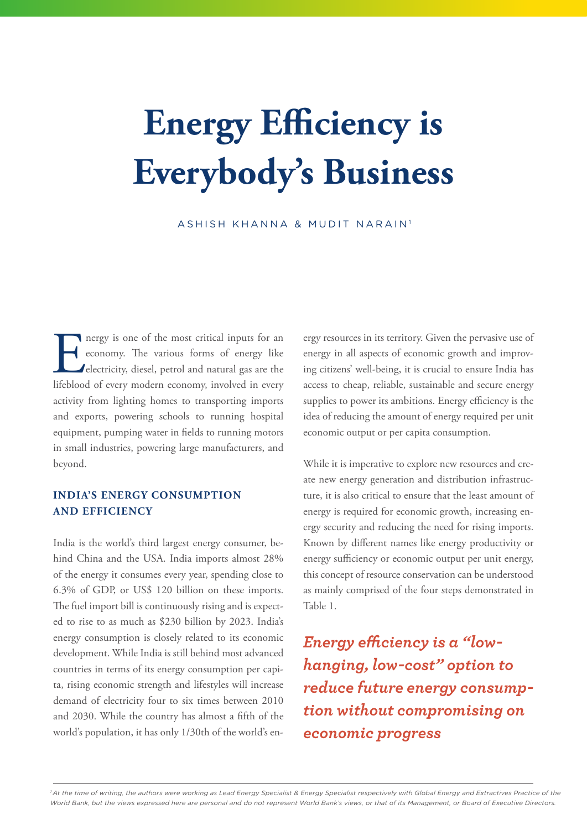# **Energy Efficiency is Everybody's Business**

ASHISH KHANNA & MUDIT NARAIN<sup>1</sup>

The most critical inputs for an economy. The various forms of energy like electricity, diesel, petrol and natural gas are the lifeblood of every modern economy, involved in every economy. The various forms of energy like electricity, diesel, petrol and natural gas are the lifeblood of every modern economy, involved in every activity from lighting homes to transporting imports and exports, powering schools to running hospital equipment, pumping water in fields to running motors in small industries, powering large manufacturers, and beyond.

### **INDIA'S ENERGY CONSUMPTION AND EFFICIENCY**

India is the world's third largest energy consumer, behind China and the USA. India imports almost 28% of the energy it consumes every year, spending close to 6.3% of GDP, or US\$ 120 billion on these imports. The fuel import bill is continuously rising and is expected to rise to as much as \$230 billion by 2023. India's energy consumption is closely related to its economic development. While India is still behind most advanced countries in terms of its energy consumption per capita, rising economic strength and lifestyles will increase demand of electricity four to six times between 2010 and 2030. While the country has almost a fifth of the world's population, it has only 1/30th of the world's energy resources in its territory. Given the pervasive use of energy in all aspects of economic growth and improving citizens' well-being, it is crucial to ensure India has access to cheap, reliable, sustainable and secure energy supplies to power its ambitions. Energy efficiency is the idea of reducing the amount of energy required per unit economic output or per capita consumption.

While it is imperative to explore new resources and create new energy generation and distribution infrastructure, it is also critical to ensure that the least amount of energy is required for economic growth, increasing energy security and reducing the need for rising imports. Known by different names like energy productivity or energy sufficiency or economic output per unit energy, this concept of resource conservation can be understood as mainly comprised of the four steps demonstrated in Table 1.

*Energy efficiency is a "lowhanging, low-cost" option to reduce future energy consumption without compromising on economic progress*

<sup>1</sup> At the time of writing, the authors were working as Lead Energy Specialist & Energy Specialist respectively with Global Energy and Extractives Practice of the *World Bank, but the views expressed here are personal and do not represent World Bank's views, or that of its Management, or Board of Executive Directors.*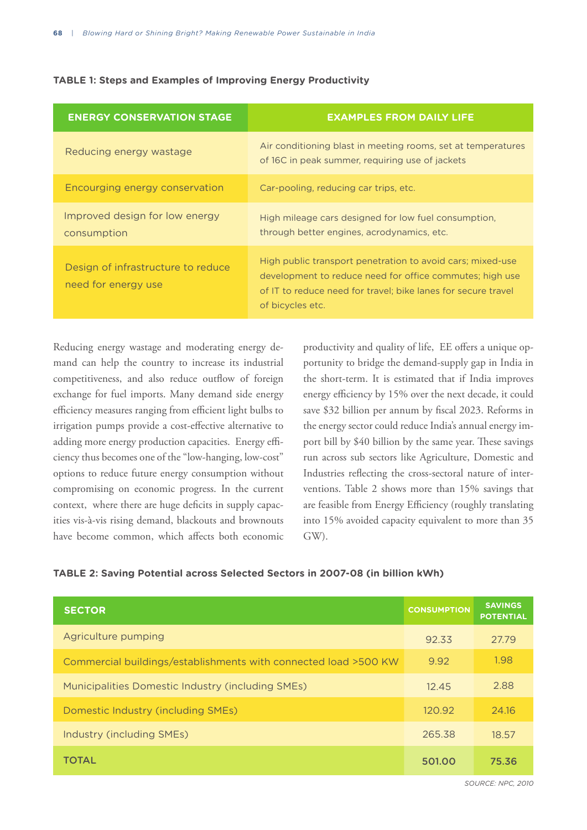| <b>TABLE 1: Steps and Examples of Improving Energy Productivity</b> |  |  |  |  |
|---------------------------------------------------------------------|--|--|--|--|
|---------------------------------------------------------------------|--|--|--|--|

| <b>ENERGY CONSERVATION STAGE</b>                          | <b>EXAMPLES FROM DAILY LIFE</b>                                                                                                                                                                             |
|-----------------------------------------------------------|-------------------------------------------------------------------------------------------------------------------------------------------------------------------------------------------------------------|
| Reducing energy wastage                                   | Air conditioning blast in meeting rooms, set at temperatures<br>of 16C in peak summer, requiring use of jackets                                                                                             |
| Encourging energy conservation                            | Car-pooling, reducing car trips, etc.                                                                                                                                                                       |
| Improved design for low energy<br>consumption             | High mileage cars designed for low fuel consumption,<br>through better engines, acrodynamics, etc.                                                                                                          |
| Design of infrastructure to reduce<br>need for energy use | High public transport penetration to avoid cars; mixed-use<br>development to reduce need for office commutes; high use<br>of IT to reduce need for travel: bike lanes for secure travel<br>of bicycles etc. |

Reducing energy wastage and moderating energy demand can help the country to increase its industrial competitiveness, and also reduce outflow of foreign exchange for fuel imports. Many demand side energy efficiency measures ranging from efficient light bulbs to irrigation pumps provide a cost-effective alternative to adding more energy production capacities. Energy efficiency thus becomes one of the "low-hanging, low-cost" options to reduce future energy consumption without compromising on economic progress. In the current context, where there are huge deficits in supply capacities vis-à-vis rising demand, blackouts and brownouts have become common, which affects both economic

productivity and quality of life, EE offers a unique opportunity to bridge the demand-supply gap in India in the short-term. It is estimated that if India improves energy efficiency by 15% over the next decade, it could save \$32 billion per annum by fiscal 2023. Reforms in the energy sector could reduce India's annual energy import bill by \$40 billion by the same year. These savings run across sub sectors like Agriculture, Domestic and Industries reflecting the cross-sectoral nature of interventions. Table 2 shows more than 15% savings that are feasible from Energy Efficiency (roughly translating into 15% avoided capacity equivalent to more than 35 GW).

#### **TABLE 2: Saving Potential across Selected Sectors in 2007-08 (in billion kWh)**

| <b>SECTOR</b>                                                   | <b>CONSUMPTION</b> | <b>SAVINGS</b><br><b>POTENTIAL</b> |
|-----------------------------------------------------------------|--------------------|------------------------------------|
| Agriculture pumping                                             | 92.33              | 27.79                              |
| Commercial buildings/establishments with connected load >500 KW | 9.92               | 1.98                               |
| Municipalities Domestic Industry (including SMEs)               | 12.45              | 2.88                               |
| Domestic Industry (including SMEs)                              | 120.92             | 24.16                              |
| Industry (including SMEs)                                       | 265.38             | 18.57                              |
| <b>TOTAL</b>                                                    | 501.00             | 75.36                              |

*SOURCE: NPC, 2010*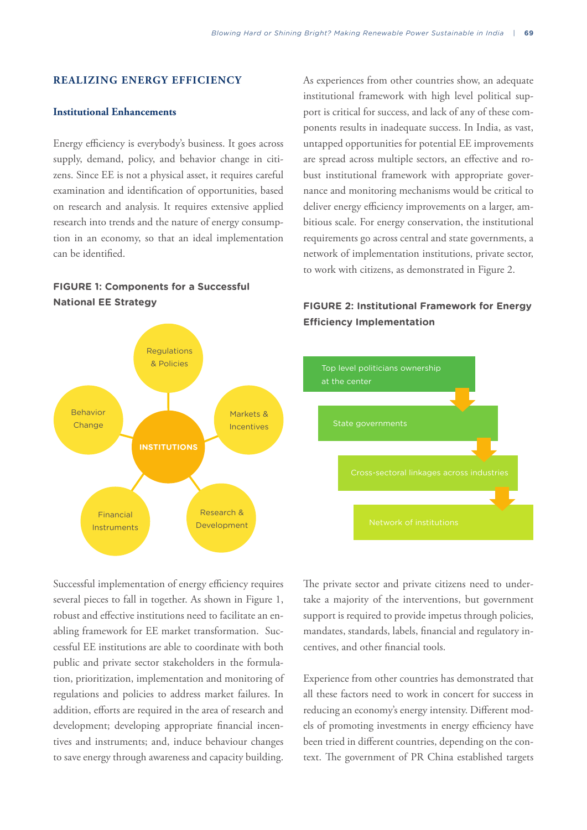### **REALIZING ENERGY EFFICIENCY**

#### **Institutional Enhancements**

Energy efficiency is everybody's business. It goes across supply, demand, policy, and behavior change in citizens. Since EE is not a physical asset, it requires careful examination and identification of opportunities, based on research and analysis. It requires extensive applied research into trends and the nature of energy consumption in an economy, so that an ideal implementation can be identified.

# **FIGURE 1: Components for a Successful National EE Strategy FIGURE 2: Institutional Framework for Energy**



As experiences from other countries show, an adequate institutional framework with high level political support is critical for success, and lack of any of these components results in inadequate success. In India, as vast, untapped opportunities for potential EE improvements are spread across multiple sectors, an effective and robust institutional framework with appropriate governance and monitoring mechanisms would be critical to deliver energy efficiency improvements on a larger, ambitious scale. For energy conservation, the institutional requirements go across central and state governments, a network of implementation institutions, private sector, to work with citizens, as demonstrated in Figure 2.

# **Efficiency Implementation**



Successful implementation of energy efficiency requires several pieces to fall in together. As shown in Figure 1, robust and effective institutions need to facilitate an enabling framework for EE market transformation. Successful EE institutions are able to coordinate with both public and private sector stakeholders in the formulation, prioritization, implementation and monitoring of regulations and policies to address market failures. In addition, efforts are required in the area of research and development; developing appropriate financial incentives and instruments; and, induce behaviour changes to save energy through awareness and capacity building.

The private sector and private citizens need to undertake a majority of the interventions, but government support is required to provide impetus through policies, mandates, standards, labels, financial and regulatory incentives, and other financial tools.

Experience from other countries has demonstrated that all these factors need to work in concert for success in reducing an economy's energy intensity. Different models of promoting investments in energy efficiency have been tried in different countries, depending on the context. The government of PR China established targets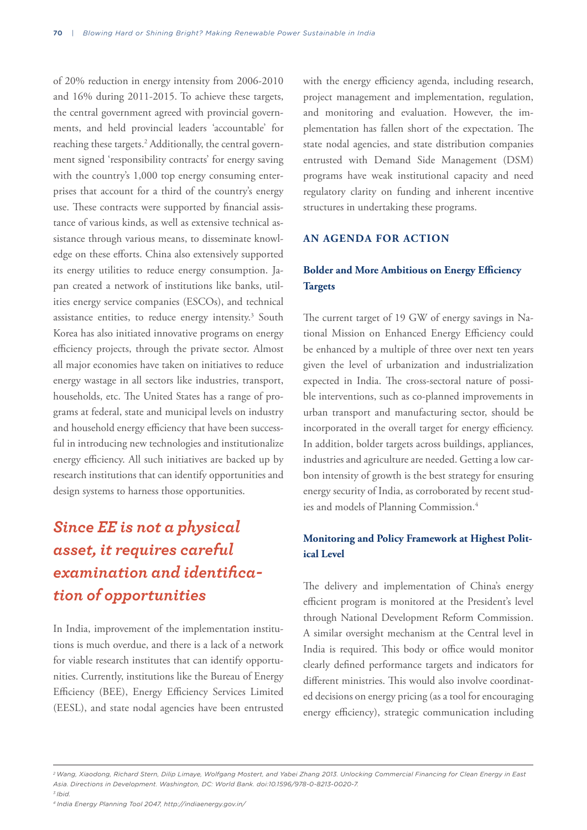of 20% reduction in energy intensity from 2006-2010 and 16% during 2011-2015. To achieve these targets, the central government agreed with provincial governments, and held provincial leaders 'accountable' for reaching these targets.<sup>2</sup> Additionally, the central government signed 'responsibility contracts' for energy saving with the country's 1,000 top energy consuming enterprises that account for a third of the country's energy use. These contracts were supported by financial assistance of various kinds, as well as extensive technical assistance through various means, to disseminate knowledge on these efforts. China also extensively supported its energy utilities to reduce energy consumption. Japan created a network of institutions like banks, utilities energy service companies (ESCOs), and technical assistance entities, to reduce energy intensity.<sup>3</sup> South Korea has also initiated innovative programs on energy efficiency projects, through the private sector. Almost all major economies have taken on initiatives to reduce energy wastage in all sectors like industries, transport, households, etc. The United States has a range of programs at federal, state and municipal levels on industry and household energy efficiency that have been successful in introducing new technologies and institutionalize energy efficiency. All such initiatives are backed up by research institutions that can identify opportunities and design systems to harness those opportunities.

# *Since EE is not a physical asset, it requires careful examination and identification of opportunities*

In India, improvement of the implementation institutions is much overdue, and there is a lack of a network for viable research institutes that can identify opportunities. Currently, institutions like the Bureau of Energy Efficiency (BEE), Energy Efficiency Services Limited (EESL), and state nodal agencies have been entrusted with the energy efficiency agenda, including research, project management and implementation, regulation, and monitoring and evaluation. However, the implementation has fallen short of the expectation. The state nodal agencies, and state distribution companies entrusted with Demand Side Management (DSM) programs have weak institutional capacity and need regulatory clarity on funding and inherent incentive structures in undertaking these programs.

### **AN AGENDA FOR ACTION**

# **Bolder and More Ambitious on Energy Efficiency Targets**

The current target of 19 GW of energy savings in National Mission on Enhanced Energy Efficiency could be enhanced by a multiple of three over next ten years given the level of urbanization and industrialization expected in India. The cross-sectoral nature of possible interventions, such as co-planned improvements in urban transport and manufacturing sector, should be incorporated in the overall target for energy efficiency. In addition, bolder targets across buildings, appliances, industries and agriculture are needed. Getting a low carbon intensity of growth is the best strategy for ensuring energy security of India, as corroborated by recent studies and models of Planning Commission.<sup>4</sup>

### **Monitoring and Policy Framework at Highest Political Level**

The delivery and implementation of China's energy efficient program is monitored at the President's level through National Development Reform Commission. A similar oversight mechanism at the Central level in India is required. This body or office would monitor clearly defined performance targets and indicators for different ministries. This would also involve coordinated decisions on energy pricing (as a tool for encouraging energy efficiency), strategic communication including

*<sup>2</sup> Wang, Xiaodong, Richard Stern, Dilip Limaye, Wolfgang Mostert, and Yabei Zhang 2013. Unlocking Commercial Financing for Clean Energy in East Asia. Directions in Development. Washington, DC: World Bank. doi:10.1596/978-0-8213-0020-7. 3 Ibid.*

*<sup>4</sup> India Energy Planning Tool 2047, http://indiaenergy.gov.in/*